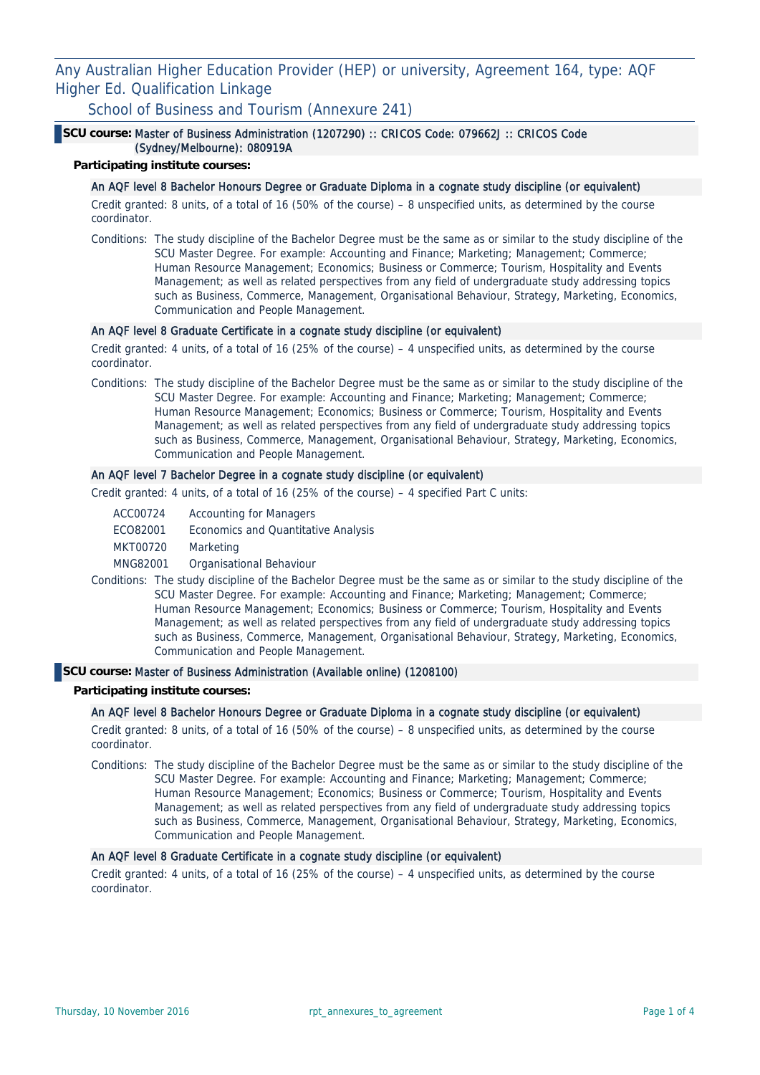Any Australian Higher Education Provider (HEP) or university, Agreement 164, type: AQF Higher Ed. Qualification Linkage

School of Business and Tourism (Annexure 241)

### **SCU course:** Master of Business Administration (1207290) :: CRICOS Code: 079662J :: CRICOS Code (Sydney/Melbourne): 080919A

## **Participating institute courses:**

#### An AQF level 8 Bachelor Honours Degree or Graduate Diploma in a cognate study discipline (or equivalent)

Credit granted: 8 units, of a total of 16 (50% of the course) – 8 unspecified units, as determined by the course coordinator.

Conditions: The study discipline of the Bachelor Degree must be the same as or similar to the study discipline of the SCU Master Degree. For example: Accounting and Finance; Marketing; Management; Commerce; Human Resource Management; Economics; Business or Commerce; Tourism, Hospitality and Events Management; as well as related perspectives from any field of undergraduate study addressing topics such as Business, Commerce, Management, Organisational Behaviour, Strategy, Marketing, Economics, Communication and People Management.

## An AQF level 8 Graduate Certificate in a cognate study discipline (or equivalent)

Credit granted: 4 units, of a total of 16 (25% of the course) – 4 unspecified units, as determined by the course coordinator.

Conditions: The study discipline of the Bachelor Degree must be the same as or similar to the study discipline of the SCU Master Degree. For example: Accounting and Finance; Marketing; Management; Commerce; Human Resource Management; Economics; Business or Commerce; Tourism, Hospitality and Events Management; as well as related perspectives from any field of undergraduate study addressing topics such as Business, Commerce, Management, Organisational Behaviour, Strategy, Marketing, Economics, Communication and People Management.

## An AQF level 7 Bachelor Degree in a cognate study discipline (or equivalent)

Credit granted: 4 units, of a total of 16 (25% of the course) – 4 specified Part C units:

| ACC00724 | <b>Accounting for Managers</b> |  |  |
|----------|--------------------------------|--|--|
|----------|--------------------------------|--|--|

- ECO82001 Economics and Quantitative Analysis
- MKT00720 Marketing
- MNG82001 Organisational Behaviour
- Conditions: The study discipline of the Bachelor Degree must be the same as or similar to the study discipline of the SCU Master Degree. For example: Accounting and Finance; Marketing; Management; Commerce; Human Resource Management; Economics; Business or Commerce; Tourism, Hospitality and Events Management; as well as related perspectives from any field of undergraduate study addressing topics such as Business, Commerce, Management, Organisational Behaviour, Strategy, Marketing, Economics, Communication and People Management.

#### **SCU course:** Master of Business Administration (Available online) (1208100)

#### **Participating institute courses:**

#### An AQF level 8 Bachelor Honours Degree or Graduate Diploma in a cognate study discipline (or equivalent)

Credit granted: 8 units, of a total of 16 (50% of the course) – 8 unspecified units, as determined by the course coordinator.

Conditions: The study discipline of the Bachelor Degree must be the same as or similar to the study discipline of the SCU Master Degree. For example: Accounting and Finance; Marketing; Management; Commerce; Human Resource Management; Economics; Business or Commerce; Tourism, Hospitality and Events Management; as well as related perspectives from any field of undergraduate study addressing topics such as Business, Commerce, Management, Organisational Behaviour, Strategy, Marketing, Economics, Communication and People Management.

## An AQF level 8 Graduate Certificate in a cognate study discipline (or equivalent)

Credit granted: 4 units, of a total of 16 (25% of the course) – 4 unspecified units, as determined by the course coordinator.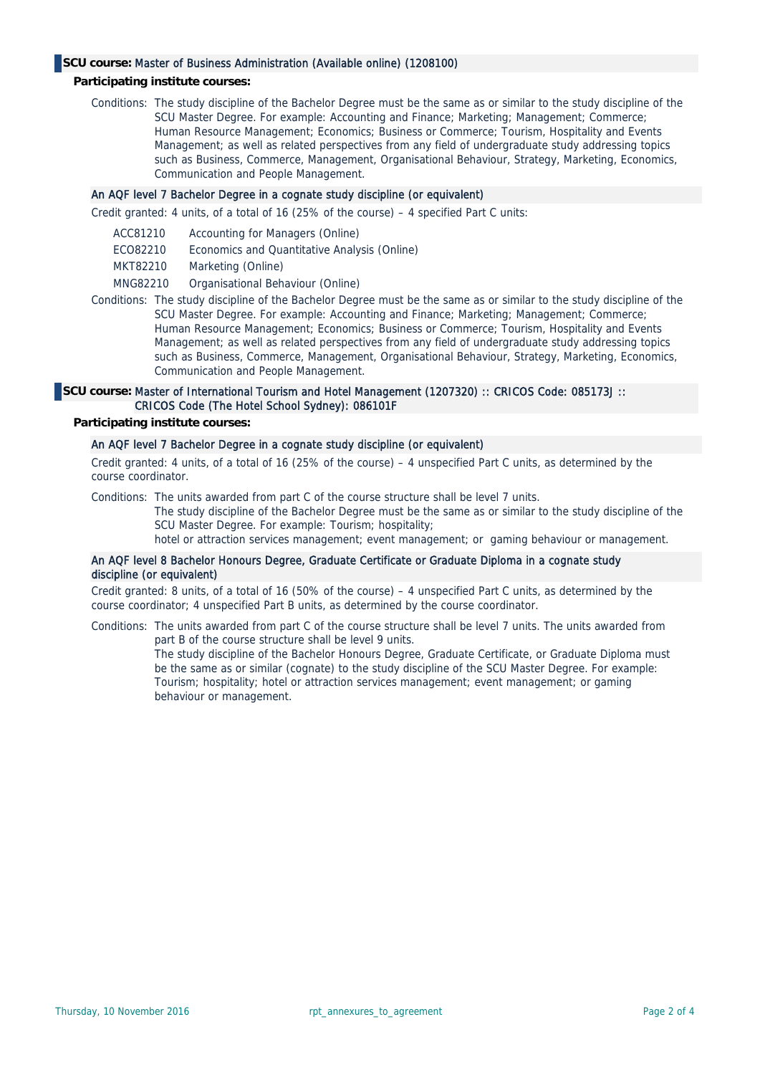# **SCU course:** Master of Business Administration (Available online) (1208100)

#### **Participating institute courses:**

Conditions: The study discipline of the Bachelor Degree must be the same as or similar to the study discipline of the SCU Master Degree. For example: Accounting and Finance; Marketing; Management; Commerce; Human Resource Management; Economics; Business or Commerce; Tourism, Hospitality and Events Management; as well as related perspectives from any field of undergraduate study addressing topics such as Business, Commerce, Management, Organisational Behaviour, Strategy, Marketing, Economics, Communication and People Management.

#### An AQF level 7 Bachelor Degree in a cognate study discipline (or equivalent)

Credit granted: 4 units, of a total of 16 (25% of the course) – 4 specified Part C units:

- ACC81210 Accounting for Managers (Online)
- ECO82210 Economics and Quantitative Analysis (Online)
- MKT82210 Marketing (Online)
- MNG82210 Organisational Behaviour (Online)
- Conditions: The study discipline of the Bachelor Degree must be the same as or similar to the study discipline of the SCU Master Degree. For example: Accounting and Finance; Marketing; Management; Commerce; Human Resource Management; Economics; Business or Commerce; Tourism, Hospitality and Events Management; as well as related perspectives from any field of undergraduate study addressing topics such as Business, Commerce, Management, Organisational Behaviour, Strategy, Marketing, Economics, Communication and People Management.

#### **SCU course:** Master of International Tourism and Hotel Management (1207320) :: CRICOS Code: 085173J :: CRICOS Code (The Hotel School Sydney): 086101F

#### **Participating institute courses:**

## An AQF level 7 Bachelor Degree in a cognate study discipline (or equivalent)

Credit granted: 4 units, of a total of 16 (25% of the course) – 4 unspecified Part C units, as determined by the course coordinator.

Conditions: The units awarded from part C of the course structure shall be level 7 units.

The study discipline of the Bachelor Degree must be the same as or similar to the study discipline of the SCU Master Degree. For example: Tourism; hospitality;

hotel or attraction services management; event management; or gaming behaviour or management.

### An AQF level 8 Bachelor Honours Degree, Graduate Certificate or Graduate Diploma in a cognate study discipline (or equivalent)

Credit granted: 8 units, of a total of 16 (50% of the course) – 4 unspecified Part C units, as determined by the course coordinator; 4 unspecified Part B units, as determined by the course coordinator.

Conditions: The units awarded from part C of the course structure shall be level 7 units. The units awarded from part B of the course structure shall be level 9 units.

> The study discipline of the Bachelor Honours Degree, Graduate Certificate, or Graduate Diploma must be the same as or similar (cognate) to the study discipline of the SCU Master Degree. For example: Tourism; hospitality; hotel or attraction services management; event management; or gaming behaviour or management.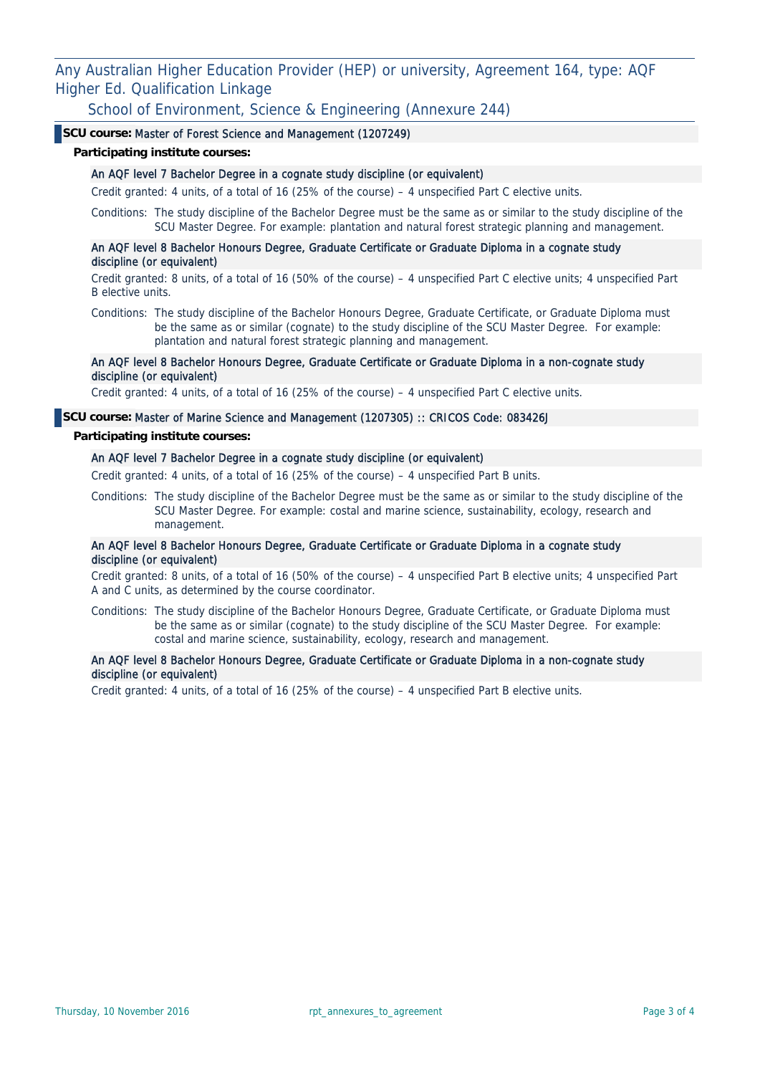Any Australian Higher Education Provider (HEP) or university, Agreement 164, type: AQF Higher Ed. Qualification Linkage

School of Environment, Science & Engineering (Annexure 244)

# **SCU course:** Master of Forest Science and Management (1207249)

#### **Participating institute courses:**

# An AQF level 7 Bachelor Degree in a cognate study discipline (or equivalent)

Credit granted: 4 units, of a total of 16 (25% of the course) – 4 unspecified Part C elective units.

Conditions: The study discipline of the Bachelor Degree must be the same as or similar to the study discipline of the SCU Master Degree. For example: plantation and natural forest strategic planning and management.

## An AQF level 8 Bachelor Honours Degree, Graduate Certificate or Graduate Diploma in a cognate study discipline (or equivalent)

Credit granted: 8 units, of a total of 16 (50% of the course) – 4 unspecified Part C elective units; 4 unspecified Part B elective units.

Conditions: The study discipline of the Bachelor Honours Degree, Graduate Certificate, or Graduate Diploma must be the same as or similar (cognate) to the study discipline of the SCU Master Degree. For example: plantation and natural forest strategic planning and management.

### An AQF level 8 Bachelor Honours Degree, Graduate Certificate or Graduate Diploma in a non-cognate study discipline (or equivalent)

Credit granted: 4 units, of a total of 16 (25% of the course) – 4 unspecified Part C elective units.

## **SCU course:** Master of Marine Science and Management (1207305) :: CRICOS Code: 083426J

#### **Participating institute courses:**

#### An AQF level 7 Bachelor Degree in a cognate study discipline (or equivalent)

Credit granted: 4 units, of a total of 16 (25% of the course) – 4 unspecified Part B units.

Conditions: The study discipline of the Bachelor Degree must be the same as or similar to the study discipline of the SCU Master Degree. For example: costal and marine science, sustainability, ecology, research and management.

## An AQF level 8 Bachelor Honours Degree, Graduate Certificate or Graduate Diploma in a cognate study discipline (or equivalent)

Credit granted: 8 units, of a total of 16 (50% of the course) – 4 unspecified Part B elective units; 4 unspecified Part A and C units, as determined by the course coordinator.

Conditions: The study discipline of the Bachelor Honours Degree, Graduate Certificate, or Graduate Diploma must be the same as or similar (cognate) to the study discipline of the SCU Master Degree. For example: costal and marine science, sustainability, ecology, research and management.

## An AQF level 8 Bachelor Honours Degree, Graduate Certificate or Graduate Diploma in a non-cognate study discipline (or equivalent)

Credit granted: 4 units, of a total of 16 (25% of the course) – 4 unspecified Part B elective units.